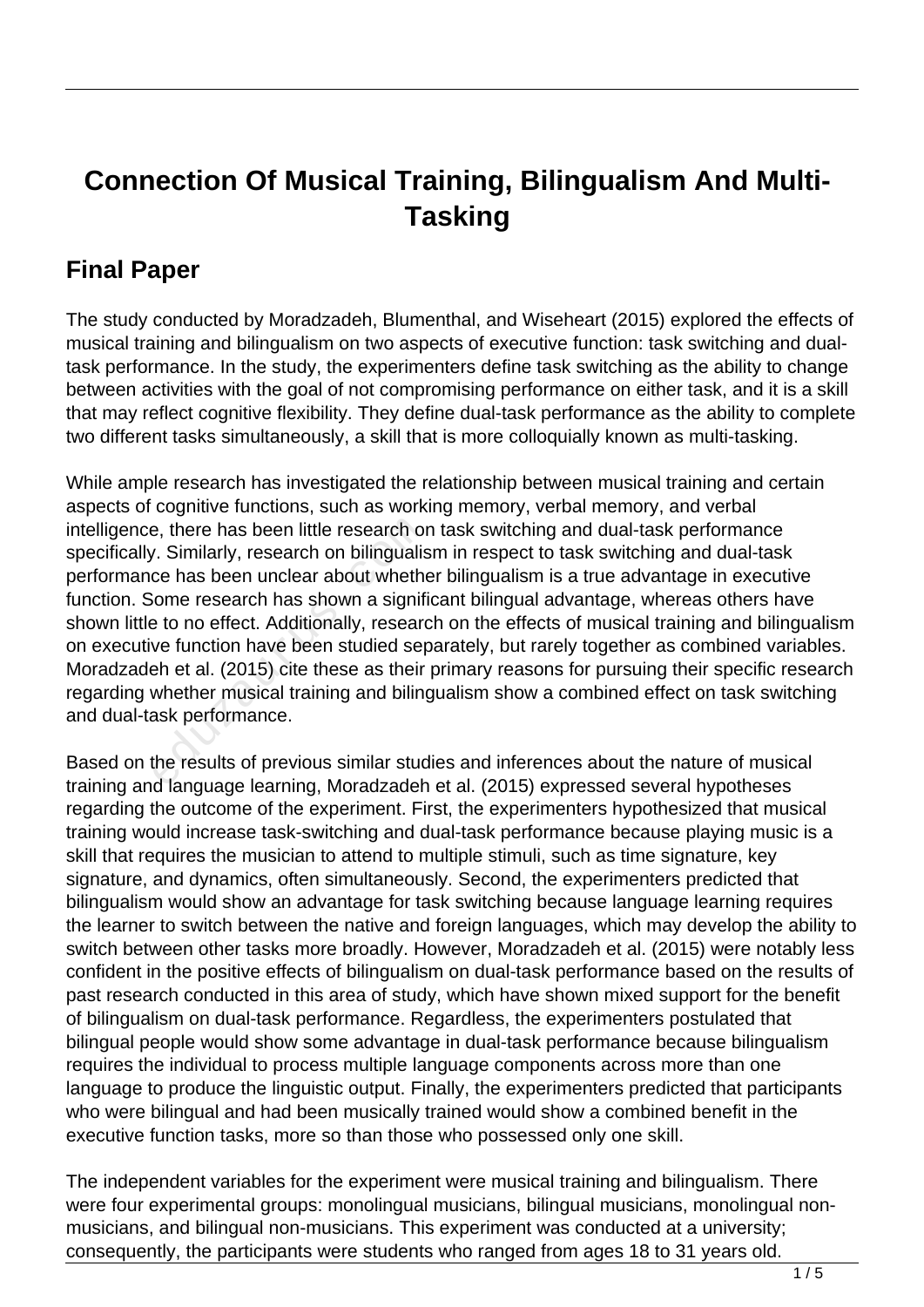## **Connection Of Musical Training, Bilingualism And Multi-Tasking**

## **Final Paper**

The study conducted by Moradzadeh, Blumenthal, and Wiseheart (2015) explored the effects of musical training and bilingualism on two aspects of executive function: task switching and dualtask performance. In the study, the experimenters define task switching as the ability to change between activities with the goal of not compromising performance on either task, and it is a skill that may reflect cognitive flexibility. They define dual-task performance as the ability to complete two different tasks simultaneously, a skill that is more colloquially known as multi-tasking.

While ample research has investigated the relationship between musical training and certain aspects of cognitive functions, such as working memory, verbal memory, and verbal intelligence, there has been little research on task switching and dual-task performance specifically. Similarly, research on bilingualism in respect to task switching and dual-task performance has been unclear about whether bilingualism is a true advantage in executive function. Some research has shown a significant bilingual advantage, whereas others have shown little to no effect. Additionally, research on the effects of musical training and bilingualism on executive function have been studied separately, but rarely together as combined variables. Moradzadeh et al. (2015) cite these as their primary reasons for pursuing their specific research regarding whether musical training and bilingualism show a combined effect on task switching and dual-task performance. e, there has been little research or<br>
Similarly, research on bilingualis<br>
ce has been unclear about whether<br>
siome research has shown a signifie<br>
to no effect. Additionally, research<br>
ve function have been studied sep<br>
the

Based on the results of previous similar studies and inferences about the nature of musical training and language learning, Moradzadeh et al. (2015) expressed several hypotheses regarding the outcome of the experiment. First, the experimenters hypothesized that musical training would increase task-switching and dual-task performance because playing music is a skill that requires the musician to attend to multiple stimuli, such as time signature, key signature, and dynamics, often simultaneously. Second, the experimenters predicted that bilingualism would show an advantage for task switching because language learning requires the learner to switch between the native and foreign languages, which may develop the ability to switch between other tasks more broadly. However, Moradzadeh et al. (2015) were notably less confident in the positive effects of bilingualism on dual-task performance based on the results of past research conducted in this area of study, which have shown mixed support for the benefit of bilingualism on dual-task performance. Regardless, the experimenters postulated that bilingual people would show some advantage in dual-task performance because bilingualism requires the individual to process multiple language components across more than one language to produce the linguistic output. Finally, the experimenters predicted that participants who were bilingual and had been musically trained would show a combined benefit in the executive function tasks, more so than those who possessed only one skill.

The independent variables for the experiment were musical training and bilingualism. There were four experimental groups: monolingual musicians, bilingual musicians, monolingual nonmusicians, and bilingual non-musicians. This experiment was conducted at a university; consequently, the participants were students who ranged from ages 18 to 31 years old.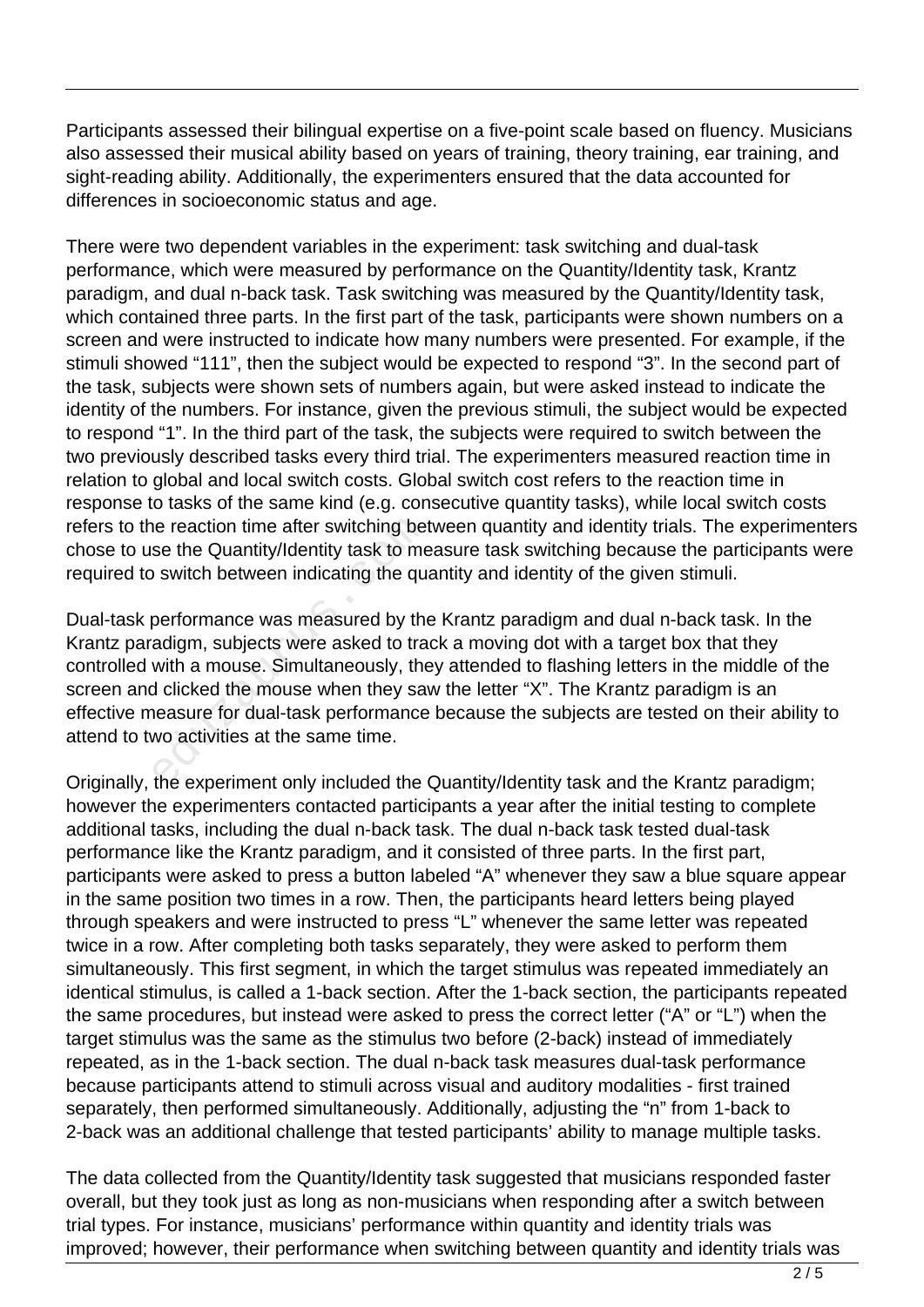Participants assessed their bilingual expertise on a five-point scale based on fluency. Musicians also assessed their musical ability based on years of training, theory training, ear training, and sight-reading ability. Additionally, the experimenters ensured that the data accounted for differences in socioeconomic status and age.

There were two dependent variables in the experiment: task switching and dual-task performance, which were measured by performance on the Quantity/Identity task, Krantz paradigm, and dual n-back task. Task switching was measured by the Quantity/Identity task, which contained three parts. In the first part of the task, participants were shown numbers on a screen and were instructed to indicate how many numbers were presented. For example, if the stimuli showed "111", then the subject would be expected to respond "3". In the second part of the task, subjects were shown sets of numbers again, but were asked instead to indicate the identity of the numbers. For instance, given the previous stimuli, the subject would be expected to respond "1". In the third part of the task, the subjects were required to switch between the two previously described tasks every third trial. The experimenters measured reaction time in relation to global and local switch costs. Global switch cost refers to the reaction time in response to tasks of the same kind (e.g. consecutive quantity tasks), while local switch costs refers to the reaction time after switching between quantity and identity trials. The experimenters chose to use the Quantity/Identity task to measure task switching because the participants were required to switch between indicating the quantity and identity of the given stimuli.

Dual-task performance was measured by the Krantz paradigm and dual n-back task. In the Krantz paradigm, subjects were asked to track a moving dot with a target box that they controlled with a mouse. Simultaneously, they attended to flashing letters in the middle of the screen and clicked the mouse when they saw the letter "X". The Krantz paradigm is an effective measure for dual-task performance because the subjects are tested on their ability to attend to two activities at the same time. ie reaction time after switching be<br>se the Quantity/Identity task to me<br>i switch between indicating the qu<br>performance was measured by the<br>adigm, subjects were asked to tra<br>with a mouse. Simultaneously, the<br>d clicked the m

Originally, the experiment only included the Quantity/Identity task and the Krantz paradigm; however the experimenters contacted participants a year after the initial testing to complete additional tasks, including the dual n-back task. The dual n-back task tested dual-task performance like the Krantz paradigm, and it consisted of three parts. In the first part, participants were asked to press a button labeled "A" whenever they saw a blue square appear in the same position two times in a row. Then, the participants heard letters being played through speakers and were instructed to press "L" whenever the same letter was repeated twice in a row. After completing both tasks separately, they were asked to perform them simultaneously. This first segment, in which the target stimulus was repeated immediately an identical stimulus, is called a 1-back section. After the 1-back section, the participants repeated the same procedures, but instead were asked to press the correct letter ("A" or "L") when the target stimulus was the same as the stimulus two before (2-back) instead of immediately repeated, as in the 1-back section. The dual n-back task measures dual-task performance because participants attend to stimuli across visual and auditory modalities - first trained separately, then performed simultaneously. Additionally, adjusting the "n" from 1-back to 2-back was an additional challenge that tested participants' ability to manage multiple tasks.

The data collected from the Quantity/Identity task suggested that musicians responded faster overall, but they took just as long as non-musicians when responding after a switch between trial types. For instance, musicians' performance within quantity and identity trials was improved; however, their performance when switching between quantity and identity trials was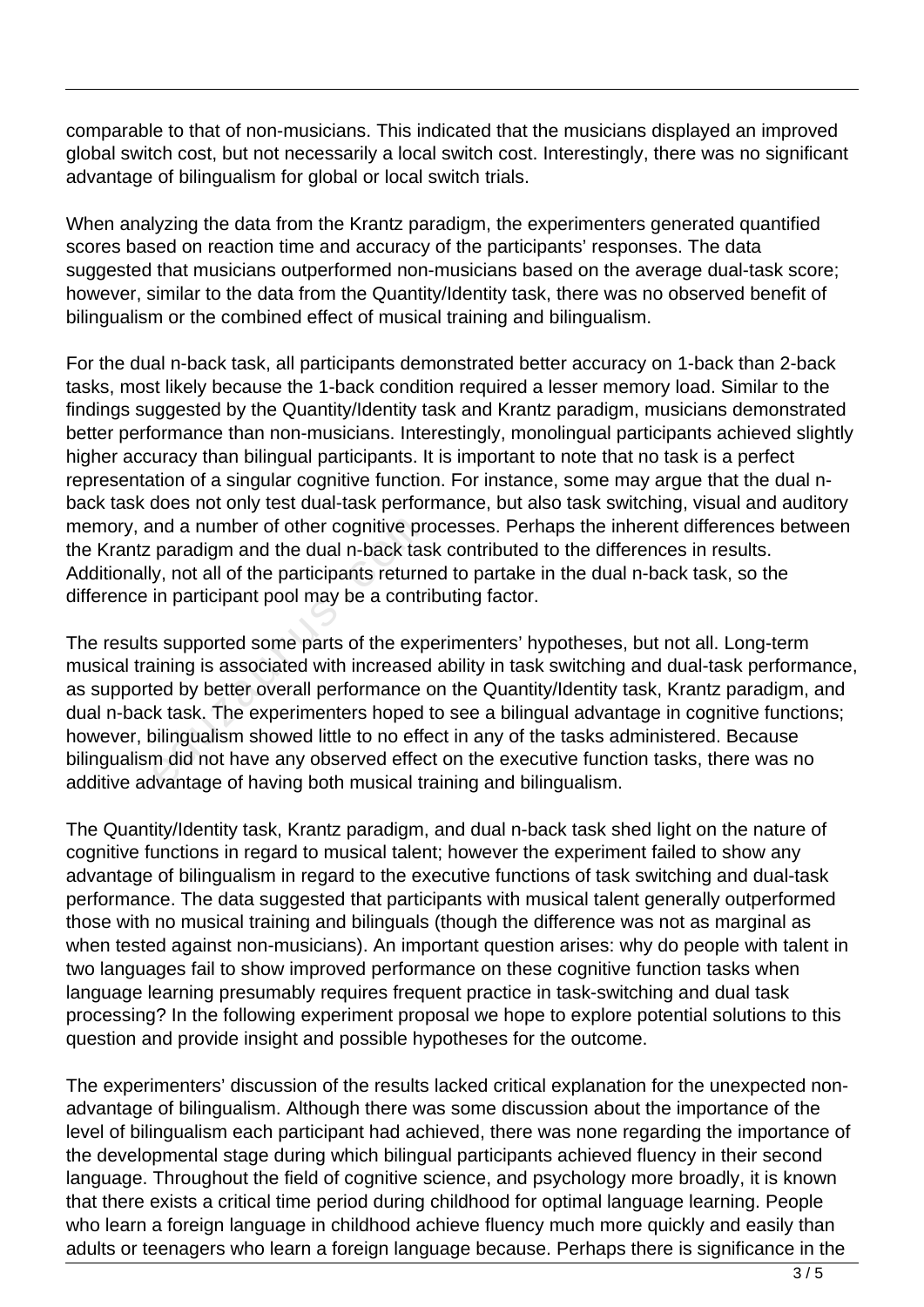comparable to that of non-musicians. This indicated that the musicians displayed an improved global switch cost, but not necessarily a local switch cost. Interestingly, there was no significant advantage of bilingualism for global or local switch trials.

When analyzing the data from the Krantz paradigm, the experimenters generated quantified scores based on reaction time and accuracy of the participants' responses. The data suggested that musicians outperformed non-musicians based on the average dual-task score; however, similar to the data from the Quantity/Identity task, there was no observed benefit of bilingualism or the combined effect of musical training and bilingualism.

For the dual n-back task, all participants demonstrated better accuracy on 1-back than 2-back tasks, most likely because the 1-back condition required a lesser memory load. Similar to the findings suggested by the Quantity/Identity task and Krantz paradigm, musicians demonstrated better performance than non-musicians. Interestingly, monolingual participants achieved slightly higher accuracy than bilingual participants. It is important to note that no task is a perfect representation of a singular cognitive function. For instance, some may argue that the dual nback task does not only test dual-task performance, but also task switching, visual and auditory memory, and a number of other cognitive processes. Perhaps the inherent differences between the Krantz paradigm and the dual n-back task contributed to the differences in results. Additionally, not all of the participants returned to partake in the dual n-back task, so the difference in participant pool may be a contributing factor.

The results supported some parts of the experimenters' hypotheses, but not all. Long-term musical training is associated with increased ability in task switching and dual-task performance, as supported by better overall performance on the Quantity/Identity task, Krantz paradigm, and dual n-back task. The experimenters hoped to see a bilingual advantage in cognitive functions; however, bilingualism showed little to no effect in any of the tasks administered. Because bilingualism did not have any observed effect on the executive function tasks, there was no additive advantage of having both musical training and bilingualism. ind a number of other cognitive proparadigm and the dual n-back tas<br>y, not all of the participants return<br>in participant pool may be a contri<br>is supported some parts of the exp<br>aining is associated with increased<br>ed by bet

The Quantity/Identity task, Krantz paradigm, and dual n-back task shed light on the nature of cognitive functions in regard to musical talent; however the experiment failed to show any advantage of bilingualism in regard to the executive functions of task switching and dual-task performance. The data suggested that participants with musical talent generally outperformed those with no musical training and bilinguals (though the difference was not as marginal as when tested against non-musicians). An important question arises: why do people with talent in two languages fail to show improved performance on these cognitive function tasks when language learning presumably requires frequent practice in task-switching and dual task processing? In the following experiment proposal we hope to explore potential solutions to this question and provide insight and possible hypotheses for the outcome.

The experimenters' discussion of the results lacked critical explanation for the unexpected nonadvantage of bilingualism. Although there was some discussion about the importance of the level of bilingualism each participant had achieved, there was none regarding the importance of the developmental stage during which bilingual participants achieved fluency in their second language. Throughout the field of cognitive science, and psychology more broadly, it is known that there exists a critical time period during childhood for optimal language learning. People who learn a foreign language in childhood achieve fluency much more quickly and easily than adults or teenagers who learn a foreign language because. Perhaps there is significance in the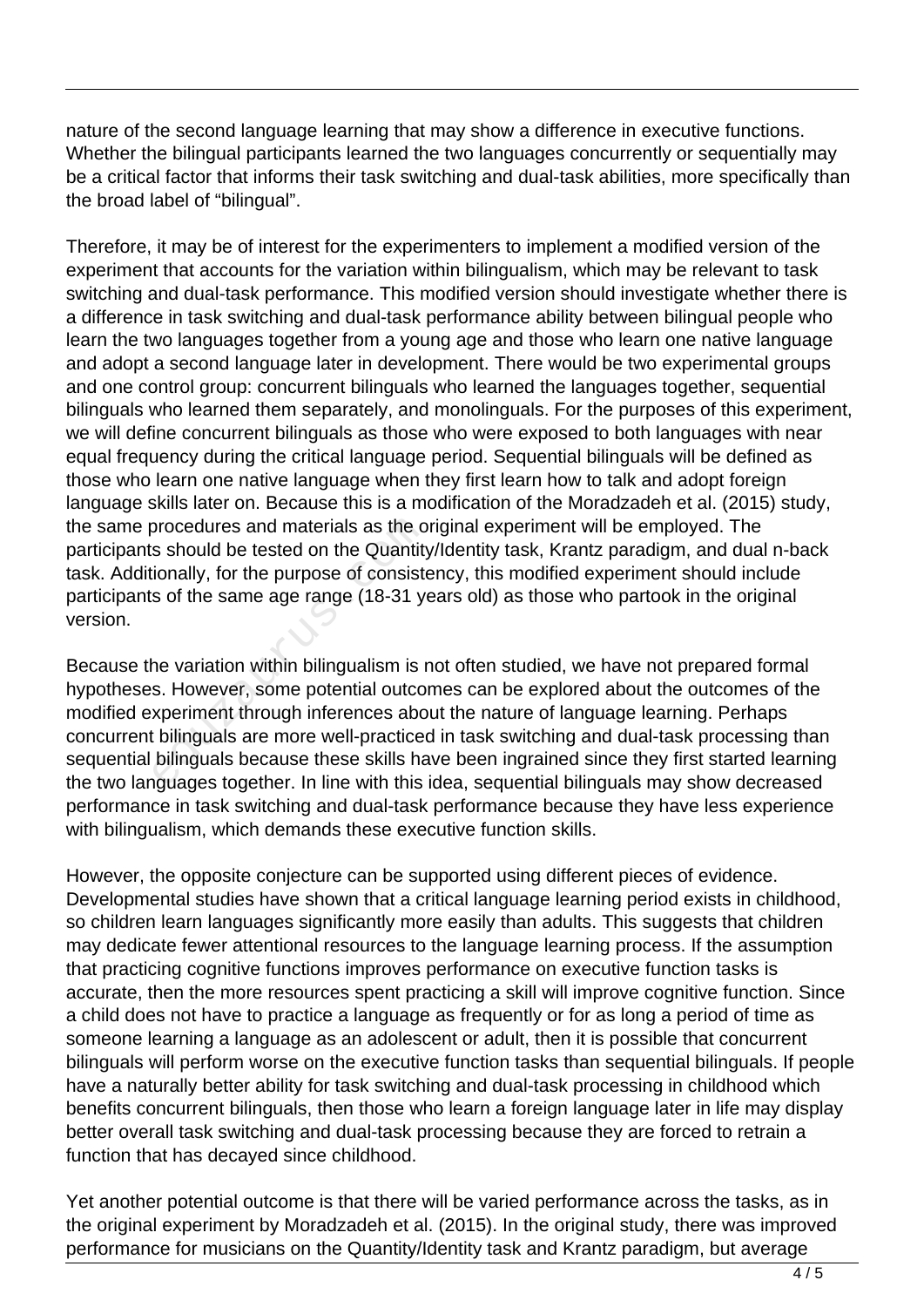nature of the second language learning that may show a difference in executive functions. Whether the bilingual participants learned the two languages concurrently or sequentially may be a critical factor that informs their task switching and dual-task abilities, more specifically than the broad label of "bilingual".

Therefore, it may be of interest for the experimenters to implement a modified version of the experiment that accounts for the variation within bilingualism, which may be relevant to task switching and dual-task performance. This modified version should investigate whether there is a difference in task switching and dual-task performance ability between bilingual people who learn the two languages together from a young age and those who learn one native language and adopt a second language later in development. There would be two experimental groups and one control group: concurrent bilinguals who learned the languages together, sequential bilinguals who learned them separately, and monolinguals. For the purposes of this experiment, we will define concurrent bilinguals as those who were exposed to both languages with near equal frequency during the critical language period. Sequential bilinguals will be defined as those who learn one native language when they first learn how to talk and adopt foreign language skills later on. Because this is a modification of the Moradzadeh et al. (2015) study, the same procedures and materials as the original experiment will be employed. The participants should be tested on the Quantity/Identity task, Krantz paradigm, and dual n-back task. Additionally, for the purpose of consistency, this modified experiment should include participants of the same age range (18-31 years old) as those who partook in the original version.

Because the variation within bilingualism is not often studied, we have not prepared formal hypotheses. However, some potential outcomes can be explored about the outcomes of the modified experiment through inferences about the nature of language learning. Perhaps concurrent bilinguals are more well-practiced in task switching and dual-task processing than sequential bilinguals because these skills have been ingrained since they first started learning the two languages together. In line with this idea, sequential bilinguals may show decreased performance in task switching and dual-task performance because they have less experience with bilingualism, which demands these executive function skills. procedures and materials as the o<br>
s should be tested on the Quantity<br>
ionally, for the purpose of consiste<br>
s of the same age range (18-31 ye<br>
ne variation within bilingualism is r<br>
s. However, some potential outco<br>
xperi

However, the opposite conjecture can be supported using different pieces of evidence. Developmental studies have shown that a critical language learning period exists in childhood, so children learn languages significantly more easily than adults. This suggests that children may dedicate fewer attentional resources to the language learning process. If the assumption that practicing cognitive functions improves performance on executive function tasks is accurate, then the more resources spent practicing a skill will improve cognitive function. Since a child does not have to practice a language as frequently or for as long a period of time as someone learning a language as an adolescent or adult, then it is possible that concurrent bilinguals will perform worse on the executive function tasks than sequential bilinguals. If people have a naturally better ability for task switching and dual-task processing in childhood which benefits concurrent bilinguals, then those who learn a foreign language later in life may display better overall task switching and dual-task processing because they are forced to retrain a function that has decayed since childhood.

Yet another potential outcome is that there will be varied performance across the tasks, as in the original experiment by Moradzadeh et al. (2015). In the original study, there was improved performance for musicians on the Quantity/Identity task and Krantz paradigm, but average